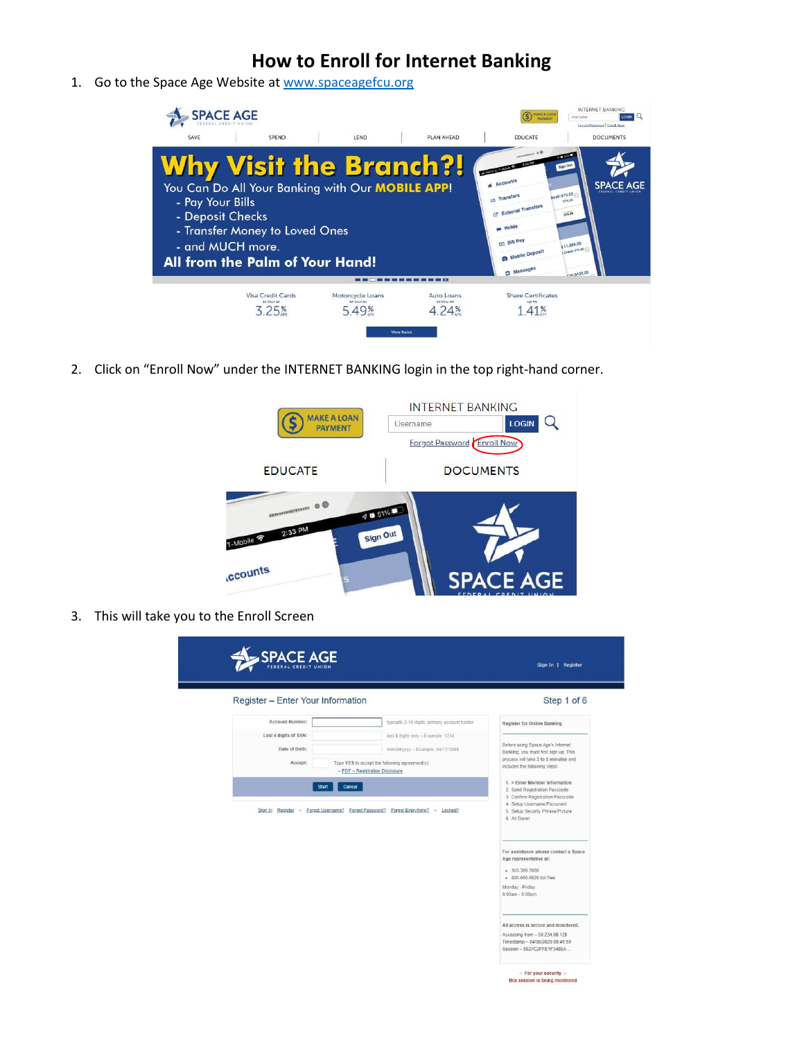1. Go to the Space Age Website at [www.spaceagefcu.org](http://www.spaceagefcu.org/)



2. Click on "Enroll Now" under the INTERNET BANKING login in the top right-hand corner.



3. This will take you to the Enroll Screen

| Register - Enter Your Information |                                                                                          | Step 1 of 6                                                                |
|-----------------------------------|------------------------------------------------------------------------------------------|----------------------------------------------------------------------------|
|                                   |                                                                                          |                                                                            |
| Account Number:                   | typically 2-10 digits, primary account holder                                            | <b>Register for Online Banking</b>                                         |
| Last 4 digits of SSN:             | last 4 digits only - Example: 1234                                                       |                                                                            |
| Date of Birth:                    | mm/dd/yyyy - Example: 04/17/1984                                                         | Before using Space Age's Internet<br>Banking, you must first sign up. This |
| Accept:                           | Type YES to accept the following agreement(s):<br>$-$ PDF $\sim$ Registration Disclosure | process will take 3 to 5 minutes and<br>includes the following steps:      |
| <b>Start</b>                      | Cancel                                                                                   | 1. > Enter Member Information<br>2. Send Registration Passcode             |
|                                   |                                                                                          | 3. Confirm Registration Passcode<br>4. Setup Username/Password             |
|                                   | Sign In Register - Forgot Username? Forgot Password? Forgot Everything? - Locked?        | 5. Setup Security Phrase/Picture<br>6. All Donel                           |
|                                   |                                                                                          |                                                                            |
|                                   |                                                                                          | For assistance please contact a Space                                      |
|                                   |                                                                                          | Age representative at:                                                     |
|                                   |                                                                                          | • 303.369.7666<br>· 800.666.6928 toll free                                 |
|                                   |                                                                                          | Monday - Friday:                                                           |
|                                   |                                                                                          | 8:00am - 6:00pm                                                            |
|                                   |                                                                                          |                                                                            |
|                                   |                                                                                          | All access is secure and monitored.                                        |
|                                   |                                                                                          | Accessing from - 50.234.98.129<br>Timestamp - 04/08/2020 09:45:59          |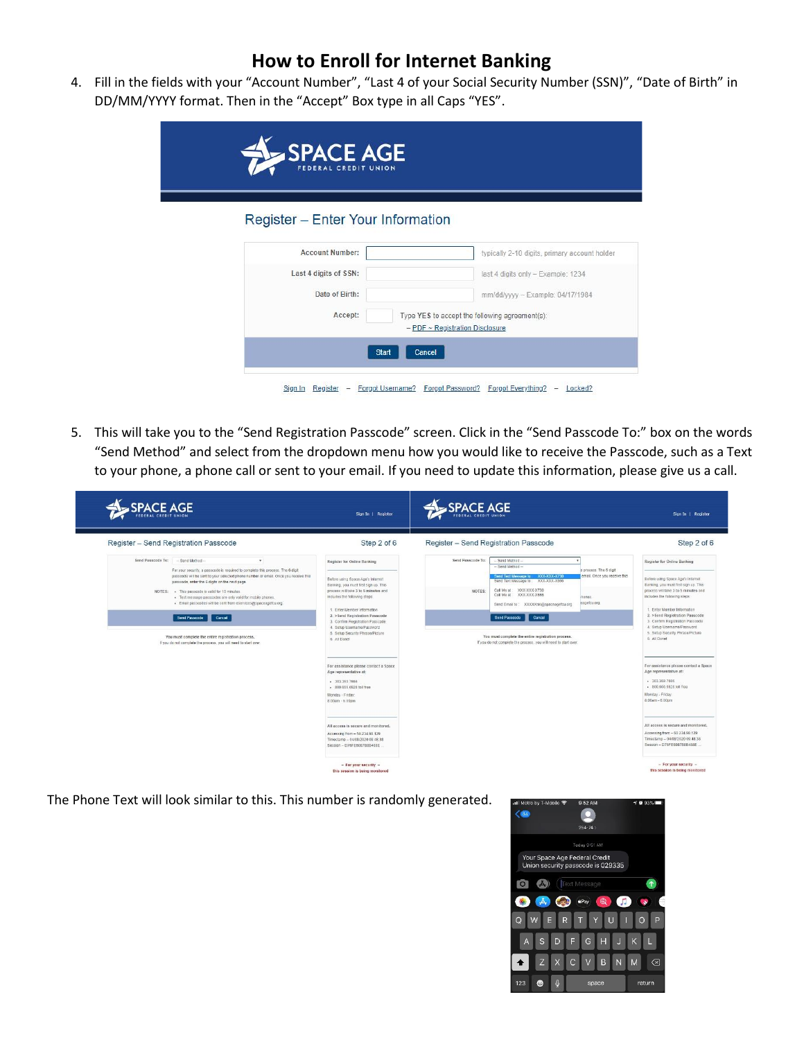4. Fill in the fields with your "Account Number", "Last 4 of your Social Security Number (SSN)", "Date of Birth" in DD/MM/YYYY format. Then in the "Accept" Box type in all Caps "YES".

| SPACE AGE<br>FEDERAL CREDIT UNION |                                                |
|-----------------------------------|------------------------------------------------|
| Register - Enter Your Information |                                                |
| <b>Account Number:</b>            | typically 2-10 digits, primary account holder  |
| Last 4 digits of SSN:             | last 4 digits only - Example: 1234             |
| Date of Birth:                    | mm/dd/yyyy - Example: 04/17/1984               |
| Accept:                           | Type YES to accept the following agreement(s): |
|                                   | $-$ PDF $\sim$ Registration Disclosure         |

5. This will take you to the "Send Registration Passcode" screen. Click in the "Send Passcode To:" box on the words "Send Method" and select from the dropdown menu how you would like to receive the Passcode, such as a Text to your phone, a phone call or sent to your email. If you need to update this information, please give us a call.

| <b>SPACE AGE</b>                                                                                                                                                                                                                                                            | Sign In   Register                                                                                                                                                                                    | <b>SPACE AGE</b>                                                                                                                                                                                                                       | Sign In   Register                                                                                                                                                                                   |
|-----------------------------------------------------------------------------------------------------------------------------------------------------------------------------------------------------------------------------------------------------------------------------|-------------------------------------------------------------------------------------------------------------------------------------------------------------------------------------------------------|----------------------------------------------------------------------------------------------------------------------------------------------------------------------------------------------------------------------------------------|------------------------------------------------------------------------------------------------------------------------------------------------------------------------------------------------------|
| Register - Send Registration Passcode                                                                                                                                                                                                                                       | Step 2 of 6                                                                                                                                                                                           | Register - Send Registration Passcode                                                                                                                                                                                                  | Step 2 of 6                                                                                                                                                                                          |
| Send Passcode To:<br>- Send Method --<br>$\tau$<br>For your security, a passcode is required to complete this process. The 6 digit<br>passcode will be sent to your selected phone number or email. Once you receive this<br>passcode, enter the 6 digits on the next page. | Register for Online Banking<br>Before using Space Age's Internet<br>Banking, you must first sign up. This<br>process will take 3 to 5 minutes and                                                     | Send Passcode To:<br>- Send Method-<br>- Send Method -<br>is process. The 6 digit<br>Send Text Message to: XXX-XXX-X730<br>email. Once you receive this<br>Send Text Message to: XXX-XXX-X666<br>XXX-XXX-X730<br>Call Me at:<br>NOTES: | <b>Register for Online Banking</b><br>Before using Space Age's Internet<br>Banking, you must first sign up. This<br>process will take 3 to 5 minutes and                                             |
| NOTES: . This passcode is valid for 10 minutes.<br>· Text message passcodes are only valid for mobile phones.<br>· Email passcodes will be sent from eservices@spaceagefcu.org.<br>Send Passcode Cancel                                                                     | includes the following steps:<br>1. Enter Member Information<br>2. > Send Registration Passcode<br>3. Confirm Registration Passcode<br>4. Setup Username/Password<br>5. Setup Security Phrase/Picture | XXX-XXX-X665<br>Call Me at:<br>ihones.<br>eagefcu.org.<br>Send Email to: XXXXXsin@spaceagefcu.org<br>Cancel<br>Send Passcode                                                                                                           | includes the following steps:<br>1. Enter Member Information<br>2. >Send Registration Passcode<br>3. Confirm Registration Passcode<br>4. Setup Username/Password<br>5. Setup Security Phrase/Picture |
| You must complete the entire registration process.<br>If you do not complete the process, you will need to start over.                                                                                                                                                      | 6. All Donel<br>For assistance please contact a Space<br>Age representative at:<br>. 303.369.7666<br>- \$00,666,6928 toll free<br>Monday - Friday:<br>8:00am - 6:00pm                                 | You must complete the entire registration process.<br>If you do not complete the process, you will need to start over.                                                                                                                 | 6. All Donel<br>For assistance please contact a Space<br>Age representative at:<br>- 303.369.7666<br>+ 800,666,6928 toll free<br>Monday - Friday:<br>8:00am - 6:00pm                                 |
|                                                                                                                                                                                                                                                                             | All access is secure and monitored.<br>Accessing from - 50.234.98.129<br>Timestamp - 04/08/2020 09:48:38<br>Session - D76FE6087B8B488E                                                                |                                                                                                                                                                                                                                        | All access is secure and monitored.<br>Accessing from - 50.234.98.129<br>Timestamp - 04/08/2020 09:48:38<br>Session - D76FE6087B8B488E                                                               |
|                                                                                                                                                                                                                                                                             | - For your security -<br>this session is being monitored                                                                                                                                              |                                                                                                                                                                                                                                        | - For your security -<br>this session is being monitored                                                                                                                                             |

The Phone Text will look similar to this. This number is randomly generated.

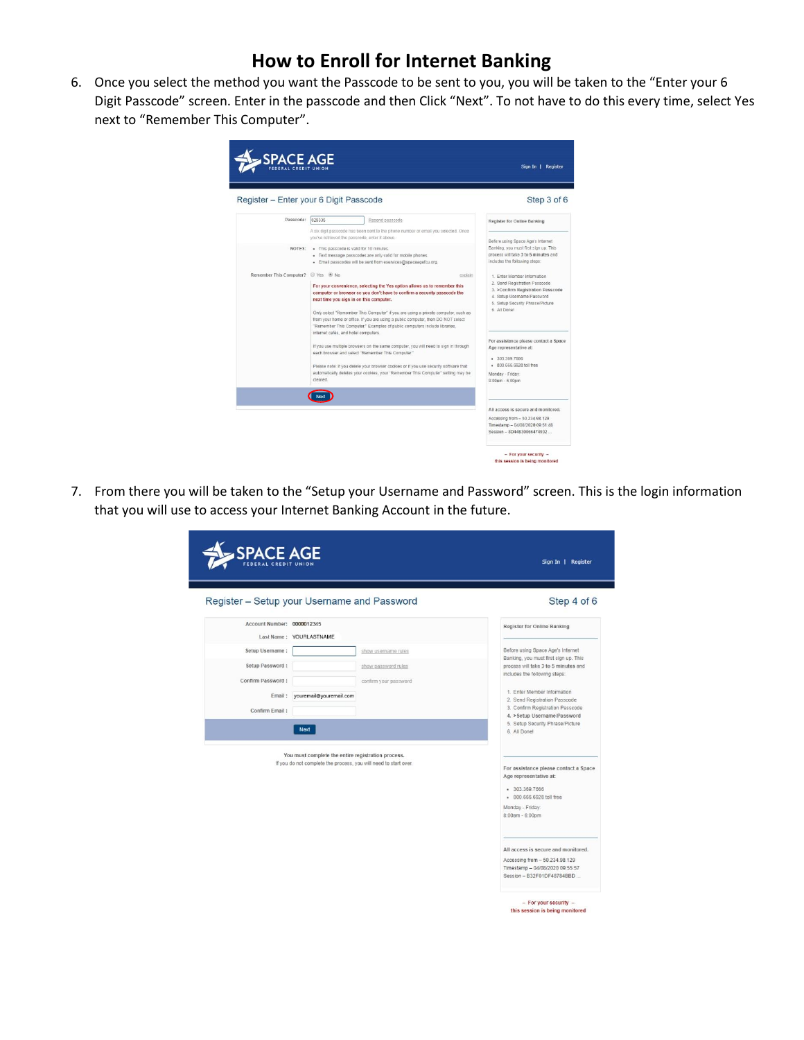6. Once you select the method you want the Passcode to be sent to you, you will be taken to the "Enter your 6 Digit Passcode" screen. Enter in the passcode and then Click "Next". To not have to do this every time, select Yes next to "Remember This Computer".

| Passcode:                          |                                                                                                                                                                                                                                                                                            |                                                                                                                                                     |
|------------------------------------|--------------------------------------------------------------------------------------------------------------------------------------------------------------------------------------------------------------------------------------------------------------------------------------------|-----------------------------------------------------------------------------------------------------------------------------------------------------|
|                                    | 029335<br>Resend passcode                                                                                                                                                                                                                                                                  | Register for Online Banking                                                                                                                         |
|                                    | A six digit passcode has been sent to the phone number or email you selected. Once<br>you've retrieved the passcode, enter it above.                                                                                                                                                       | Before using Space Age's Internet                                                                                                                   |
|                                    | NOTES: . This passcode is valid for 10 minutes.<br>· Text message passcodes are only valid for mobile phones.<br>· Email passcodes will be sent from eservices@spaceagefcu.org.                                                                                                            | Banking, you must first sign up. This<br>process will take 3 to 5 minutes and<br>includes the following steps:                                      |
| Remember This Computer? @ Yes @ No | explain                                                                                                                                                                                                                                                                                    | 1. Enter Member Information                                                                                                                         |
|                                    | For your convenience, selecting the Yes option allows us to remember this<br>computer or browser so you don't have to confirm a security passcode the<br>next time you sign in on this computer.                                                                                           | 2. Send Registration Passcode<br>3. >Confirm Registration Passcode<br>4. Setup Username/Password<br>5. Setup Security Phrase/Picture<br>6 All Donal |
|                                    | Only select "Remember This Computer" if you are using a private computer, such as<br>from your home or office. If you are using a public computer, then DO NOT select<br>"Remember This Computer." Examples of public computers include libraries,<br>internet cafés, and hotel computers. |                                                                                                                                                     |
|                                    | If you use multiple browsers on the same computer, you will need to sign in through<br>each browser and select "Remember This Computer."                                                                                                                                                   | For assistance please contact a Space<br>Age representative at:                                                                                     |
|                                    | Please note: If you delete your browser cookies or if you use security software that                                                                                                                                                                                                       | • 303.369.7666<br>- 800,666,6928 toll free                                                                                                          |
|                                    | automatically deletes your cookies, your 'Remember This Computer' setting may be<br>cleared.                                                                                                                                                                                               | Monday - Friday:<br>$8:00am - 6:00am$                                                                                                               |
|                                    |                                                                                                                                                                                                                                                                                            |                                                                                                                                                     |
|                                    |                                                                                                                                                                                                                                                                                            | All access is secure and monitored.                                                                                                                 |
|                                    |                                                                                                                                                                                                                                                                                            | Accessing from - 50.234.98.129                                                                                                                      |

7. From there you will be taken to the "Setup your Username and Password" screen. This is the login information that you will use to access your Internet Banking Account in the future.

|                                             |                                                                                                                        |                       | Sign In   Register                                                                                                                                                                                                                                                                             |
|---------------------------------------------|------------------------------------------------------------------------------------------------------------------------|-----------------------|------------------------------------------------------------------------------------------------------------------------------------------------------------------------------------------------------------------------------------------------------------------------------------------------|
| Register - Setup your Username and Password |                                                                                                                        |                       | Step 4 of 6                                                                                                                                                                                                                                                                                    |
| Account Number: 0000012345                  |                                                                                                                        |                       | Register for Online Banking                                                                                                                                                                                                                                                                    |
|                                             | Last Name: YOURLASTNAME                                                                                                |                       |                                                                                                                                                                                                                                                                                                |
| Setup Username :                            |                                                                                                                        | show username rules   | Before using Space Age's Internet                                                                                                                                                                                                                                                              |
| Setup Password:                             |                                                                                                                        | show password rules   | Banking, you must first sign up. This<br>process will take 3 to 5 minutes and                                                                                                                                                                                                                  |
| Confirm Password:                           |                                                                                                                        | confirm your password | includes the following steps:                                                                                                                                                                                                                                                                  |
| Email:                                      | youremail@youremail.com                                                                                                |                       | 1. Enter Member Information                                                                                                                                                                                                                                                                    |
|                                             |                                                                                                                        |                       | 2. Send Registration Passcode<br>3. Confirm Registration Passcode                                                                                                                                                                                                                              |
| Confirm Email:                              |                                                                                                                        |                       | 4. > Setup Username/Password                                                                                                                                                                                                                                                                   |
|                                             | Next                                                                                                                   |                       | 5. Setup Security Phrase/Picture<br>6. All Donel                                                                                                                                                                                                                                               |
|                                             | You must complete the entire registration process.<br>If you do not complete the process, you will need to start over. |                       | For assistance please contact a Space<br>Age representative at:<br>• 303.369.7666<br>- 800,666,6928 toll free<br>Monday - Friday:<br>8:00am - 6:00pm<br>All access is secure and monitored.<br>Accessing from - 50.234.98.129<br>Timestamp - 04/08/2020 09:55:57<br>Session - B32F01DF48784BBD |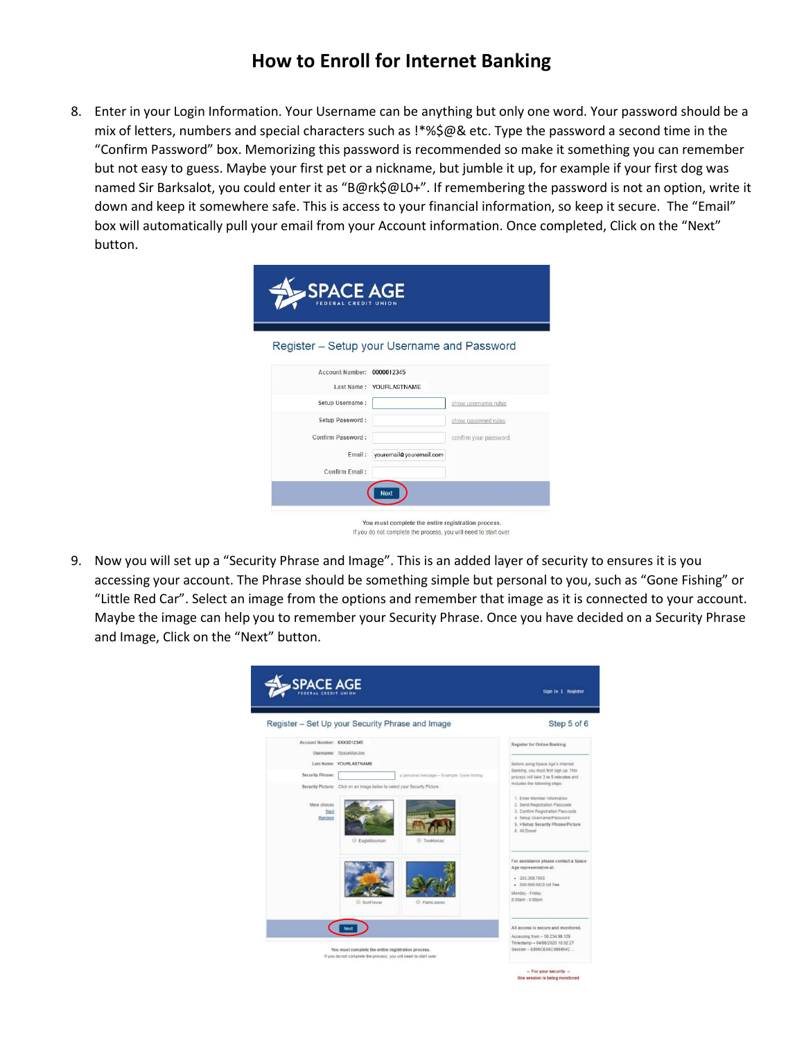8. Enter in your Login Information. Your Username can be anything but only one word. Your password should be a mix of letters, numbers and special characters such as !\*%\$@& etc. Type the password a second time in the "Confirm Password" box. Memorizing this password is recommended so make it something you can remember but not easy to guess. Maybe your first pet or a nickname, but jumble it up, for example if your first dog was named Sir Barksalot, you could enter it as "B@rk\$@L0+". If remembering the password is not an option, write it down and keep it somewhere safe. This is access to your financial information, so keep it secure. The "Email" box will automatically pull your email from your Account information. Once completed, Click on the "Next" button.

| SPACE AGE<br>FEDERAL CREDIT UNION           |                         |                       |
|---------------------------------------------|-------------------------|-----------------------|
| Register - Setup your Username and Password |                         |                       |
| <b>Account Number:</b>                      | 0000012345              |                       |
|                                             | Last Name: YOURLASTNAME |                       |
| Setup Username:                             |                         | show username rules   |
| Setup Password:                             |                         | show password rules   |
| Confirm Password:                           |                         | confirm your password |
| Email:                                      | youremail@youremail.com |                       |
| Confirm Email:                              |                         |                       |
|                                             | Next                    |                       |
|                                             |                         |                       |

9. Now you will set up a "Security Phrase and Image". This is an added layer of security to ensures it is you accessing your account. The Phrase should be something simple but personal to you, such as "Gone Fishing" or "Little Red Car". Select an image from the options and remember that image as it is connected to your account. Maybe the image can help you to remember your Security Phrase. Once you have decided on a Security Phrase and Image, Click on the "Next" button.

If you do not complete the process, you will need to start over.

| SPACE AGE                      |                                                                                                                        | Sign In   Register                                                                                                                                                                  |
|--------------------------------|------------------------------------------------------------------------------------------------------------------------|-------------------------------------------------------------------------------------------------------------------------------------------------------------------------------------|
|                                | Register - Set Up your Security Phrase and Image                                                                       | Step 5 of 6                                                                                                                                                                         |
| Account Number: XXXX012345     |                                                                                                                        | <b>Register for Online Banking</b>                                                                                                                                                  |
|                                | Username: SpaceManJoe                                                                                                  |                                                                                                                                                                                     |
|                                | Last Name: YOURLASTNAME                                                                                                | Before using Space Age's Internet<br>Banking, you must first sign up. This                                                                                                          |
| Security Phrase:               | a personal message - Example: Gone fishing                                                                             | process will take 3 to 5 minutes and                                                                                                                                                |
|                                | Security Picture: Click on an Image below to select your Security Picture.                                             | includes the following steps:                                                                                                                                                       |
| More choices<br>Next<br>Random | C EagleMountain<br><b>C</b> TwoHorses                                                                                  | 1. Enter Member Information<br>2. Send Registration Passcode<br>3. Confirm Registration Passcode<br>4. Setup Username/Password<br>5. >Setup Security Phrase/Picture<br>6. All Donel |
|                                | SunFlower<br>PalmLeaves                                                                                                | For assistance please contact a Space<br>Age representative at:<br>- 303 369 7666<br>- 800.666.6928 toll free<br>Monday - Friday:<br>8:00am - 6:00pm                                |
|                                |                                                                                                                        | All access is secure and monitored.<br>Accessing from - 50.234.98.129<br>Timestamp - 04/08/2020 10:02:27                                                                            |
|                                | You must complete the entire registration process.<br>If you do not complete the process, you will need to start over. | Session - E896CE65C096454C                                                                                                                                                          |